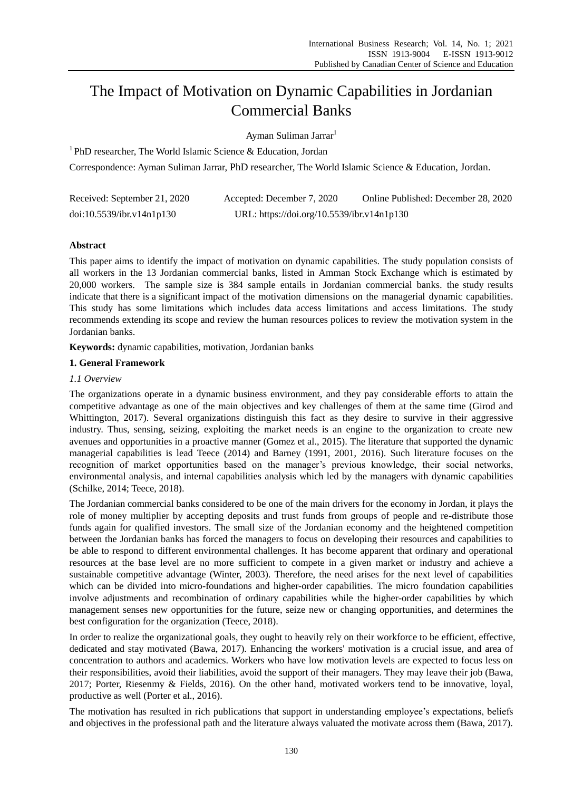# The Impact of Motivation on Dynamic Capabilities in Jordanian Commercial Banks

Ayman Suliman Jarrar<sup>1</sup>

<sup>1</sup> PhD researcher, The World Islamic Science & Education, Jordan

Correspondence: Ayman Suliman Jarrar, PhD researcher, The World Islamic Science & Education, Jordan.

| Received: September 21, 2020 | Accepted: December 7, 2020                 | Online Published: December 28, 2020 |
|------------------------------|--------------------------------------------|-------------------------------------|
| doi:10.5539/ibr.v14n1p130    | URL: https://doi.org/10.5539/ibr.v14n1p130 |                                     |

# **Abstract**

This paper aims to identify the impact of motivation on dynamic capabilities. The study population consists of all workers in the 13 Jordanian commercial banks, listed in Amman Stock Exchange which is estimated by 20,000 workers. The sample size is 384 sample entails in Jordanian commercial banks. the study results indicate that there is a significant impact of the motivation dimensions on the managerial dynamic capabilities. This study has some limitations which includes data access limitations and access limitations. The study recommends extending its scope and review the human resources polices to review the motivation system in the Jordanian banks.

**Keywords:** dynamic capabilities, motivation, Jordanian banks

# **1. General Framework**

# *1.1 Overview*

The organizations operate in a dynamic business environment, and they pay considerable efforts to attain the competitive advantage as one of the main objectives and key challenges of them at the same time (Girod and Whittington, 2017). Several organizations distinguish this fact as they desire to survive in their aggressive industry. Thus, sensing, seizing, exploiting the market needs is an engine to the organization to create new avenues and opportunities in a proactive manner (Gomez et al., 2015). The literature that supported the dynamic managerial capabilities is lead Teece (2014) and Barney (1991, 2001, 2016). Such literature focuses on the recognition of market opportunities based on the manager's previous knowledge, their social networks, environmental analysis, and internal capabilities analysis which led by the managers with dynamic capabilities (Schilke, 2014; Teece, 2018).

The Jordanian commercial banks considered to be one of the main drivers for the economy in Jordan, it plays the role of money multiplier by accepting deposits and trust funds from groups of people and re-distribute those funds again for qualified investors. The small size of the Jordanian economy and the heightened competition between the Jordanian banks has forced the managers to focus on developing their resources and capabilities to be able to respond to different environmental challenges. It has become apparent that ordinary and operational resources at the base level are no more sufficient to compete in a given market or industry and achieve a sustainable competitive advantage (Winter, 2003). Therefore, the need arises for the next level of capabilities which can be divided into micro-foundations and higher-order capabilities. The micro foundation capabilities involve adjustments and recombination of ordinary capabilities while the higher-order capabilities by which management senses new opportunities for the future, seize new or changing opportunities, and determines the best configuration for the organization (Teece, 2018).

In order to realize the organizational goals, they ought to heavily rely on their workforce to be efficient, effective, dedicated and stay motivated (Bawa, 2017). Enhancing the workers' motivation is a crucial issue, and area of concentration to authors and academics. Workers who have low motivation levels are expected to focus less on their responsibilities, avoid their liabilities, avoid the support of their managers. They may leave their job (Bawa, 2017; Porter, Riesenmy & Fields, 2016). On the other hand, motivated workers tend to be innovative, loyal, productive as well (Porter et al., 2016).

The motivation has resulted in rich publications that support in understanding employee's expectations, beliefs and objectives in the professional path and the literature always valuated the motivate across them (Bawa, 2017).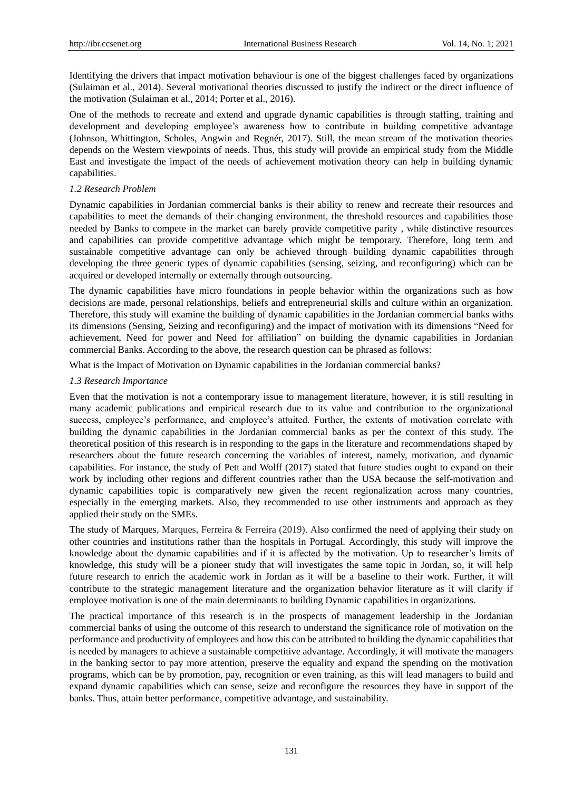Identifying the drivers that impact motivation behaviour is one of the biggest challenges faced by organizations (Sulaiman et al., 2014). Several motivational theories discussed to justify the indirect or the direct influence of the motivation (Sulaiman et al., 2014; Porter et al., 2016).

One of the methods to recreate and extend and upgrade dynamic capabilities is through staffing, training and development and developing employee's awareness how to contribute in building competitive advantage (Johnson, Whittington, Scholes, Angwin and Regnér, 2017). Still, the mean stream of the motivation theories depends on the Western viewpoints of needs. Thus, this study will provide an empirical study from the Middle East and investigate the impact of the needs of achievement motivation theory can help in building dynamic capabilities.

#### *1.2 Research Problem*

Dynamic capabilities in Jordanian commercial banks is their ability to renew and recreate their resources and capabilities to meet the demands of their changing environment, the threshold resources and capabilities those needed by Banks to compete in the market can barely provide competitive parity , while distinctive resources and capabilities can provide competitive advantage which might be temporary. Therefore, long term and sustainable competitive advantage can only be achieved through building dynamic capabilities through developing the three generic types of dynamic capabilities (sensing, seizing, and reconfiguring) which can be acquired or developed internally or externally through outsourcing.

The dynamic capabilities have micro foundations in people behavior within the organizations such as how decisions are made, personal relationships, beliefs and entrepreneurial skills and culture within an organization. Therefore, this study will examine the building of dynamic capabilities in the Jordanian commercial banks withs its dimensions (Sensing, Seizing and reconfiguring) and the impact of motivation with its dimensions "Need for achievement, Need for power and Need for affiliation" on building the dynamic capabilities in Jordanian commercial Banks. According to the above, the research question can be phrased as follows:

What is the Impact of Motivation on Dynamic capabilities in the Jordanian commercial banks?

#### *1.3 Research Importance*

Even that the motivation is not a contemporary issue to management literature, however, it is still resulting in many academic publications and empirical research due to its value and contribution to the organizational success, employee's performance, and employee's attuited. Further, the extents of motivation correlate with building the dynamic capabilities in the Jordanian commercial banks as per the context of this study. The theoretical position of this research is in responding to the gaps in the literature and recommendations shaped by researchers about the future research concerning the variables of interest, namely, motivation, and dynamic capabilities. For instance, the study of Pett and Wolff (2017) stated that future studies ought to expand on their work by including other regions and different countries rather than the USA because the self-motivation and dynamic capabilities topic is comparatively new given the recent regionalization across many countries, especially in the emerging markets. Also, they recommended to use other instruments and approach as they applied their study on the SMEs.

The study of Marques, Marques, Ferreira & Ferreira (2019). Also confirmed the need of applying their study on other countries and institutions rather than the hospitals in Portugal. Accordingly, this study will improve the knowledge about the dynamic capabilities and if it is affected by the motivation. Up to researcher's limits of knowledge, this study will be a pioneer study that will investigates the same topic in Jordan, so, it will help future research to enrich the academic work in Jordan as it will be a baseline to their work. Further, it will contribute to the strategic management literature and the organization behavior literature as it will clarify if employee motivation is one of the main determinants to building Dynamic capabilities in organizations.

The practical importance of this research is in the prospects of management leadership in the Jordanian commercial banks of using the outcome of this research to understand the significance role of motivation on the performance and productivity of employees and how this can be attributed to building the dynamic capabilities that is needed by managers to achieve a sustainable competitive advantage. Accordingly, it will motivate the managers in the banking sector to pay more attention, preserve the equality and expand the spending on the motivation programs, which can be by promotion, pay, recognition or even training, as this will lead managers to build and expand dynamic capabilities which can sense, seize and reconfigure the resources they have in support of the banks. Thus, attain better performance, competitive advantage, and sustainability.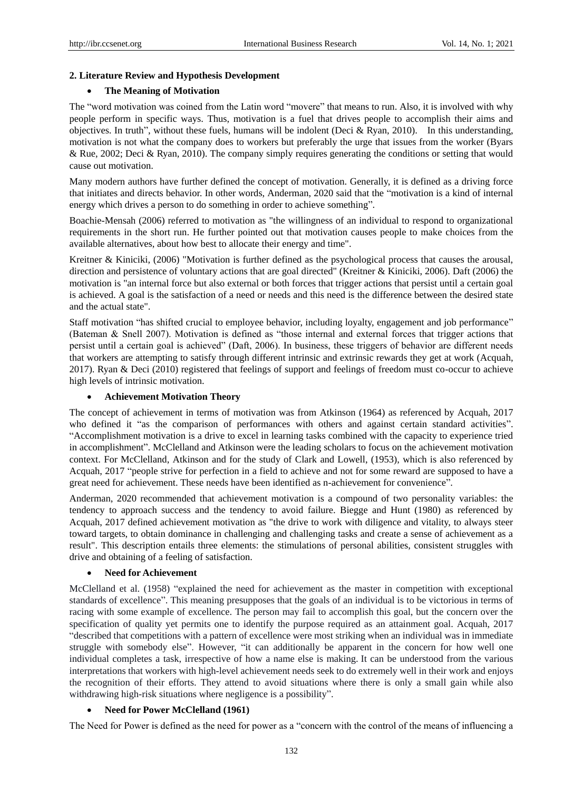## **2. Literature Review and Hypothesis Development**

### **The Meaning of Motivation**

The "word motivation was coined from the Latin word "movere" that means to run. Also, it is involved with why people perform in specific ways. Thus, motivation is a fuel that drives people to accomplish their aims and objectives. In truth", without these fuels, humans will be indolent (Deci & Ryan, 2010). In this understanding, motivation is not what the company does to workers but preferably the urge that issues from the worker (Byars & Rue, 2002; Deci & Ryan, 2010). The company simply requires generating the conditions or setting that would cause out motivation.

Many modern authors have further defined the concept of motivation. Generally, it is defined as a driving force that initiates and directs behavior. In other words, Anderman, 2020 said that the "motivation is a kind of internal energy which drives a person to do something in order to achieve something".

Boachie-Mensah (2006) referred to motivation as "the willingness of an individual to respond to organizational requirements in the short run. He further pointed out that motivation causes people to make choices from the available alternatives, about how best to allocate their energy and time".

Kreitner & Kiniciki, (2006) "Motivation is further defined as the psychological process that causes the arousal, direction and persistence of voluntary actions that are goal directed" (Kreitner & Kiniciki, 2006). Daft (2006) the motivation is "an internal force but also external or both forces that trigger actions that persist until a certain goal is achieved. A goal is the satisfaction of a need or needs and this need is the difference between the desired state and the actual state".

Staff motivation "has shifted crucial to employee behavior, including loyalty, engagement and job performance" (Bateman & Snell 2007). Motivation is defined as "those internal and external forces that trigger actions that persist until a certain goal is achieved" (Daft, 2006). In business, these triggers of behavior are different needs that workers are attempting to satisfy through different intrinsic and extrinsic rewards they get at work (Acquah, 2017). Ryan & Deci (2010) registered that feelings of support and feelings of freedom must co-occur to achieve high levels of intrinsic motivation.

#### **Achievement Motivation Theory**

The concept of achievement in terms of motivation was from Atkinson (1964) as referenced by Acquah, 2017 who defined it "as the comparison of performances with others and against certain standard activities". "Accomplishment motivation is a drive to excel in learning tasks combined with the capacity to experience tried in accomplishment". McClelland and Atkinson were the leading scholars to focus on the achievement motivation context. For McClelland, Atkinson and for the study of Clark and Lowell, (1953), which is also referenced by Acquah, 2017 "people strive for perfection in a field to achieve and not for some reward are supposed to have a great need for achievement. These needs have been identified as n-achievement for convenience".

Anderman, 2020 recommended that achievement motivation is a compound of two personality variables: the tendency to approach success and the tendency to avoid failure. Biegge and Hunt (1980) as referenced by Acquah, 2017 defined achievement motivation as "the drive to work with diligence and vitality, to always steer toward targets, to obtain dominance in challenging and challenging tasks and create a sense of achievement as a result". This description entails three elements: the stimulations of personal abilities, consistent struggles with drive and obtaining of a feeling of satisfaction.

#### **Need for Achievement**

McClelland et al. (1958) "explained the need for achievement as the master in competition with exceptional standards of excellence". This meaning presupposes that the goals of an individual is to be victorious in terms of racing with some example of excellence. The person may fail to accomplish this goal, but the concern over the specification of quality yet permits one to identify the purpose required as an attainment goal. Acquah, 2017 "described that competitions with a pattern of excellence were most striking when an individual was in immediate struggle with somebody else". However, "it can additionally be apparent in the concern for how well one individual completes a task, irrespective of how a name else is making. It can be understood from the various interpretations that workers with high-level achievement needs seek to do extremely well in their work and enjoys the recognition of their efforts. They attend to avoid situations where there is only a small gain while also withdrawing high-risk situations where negligence is a possibility".

# **Need for Power McClelland (1961)**

The Need for Power is defined as the need for power as a "concern with the control of the means of influencing a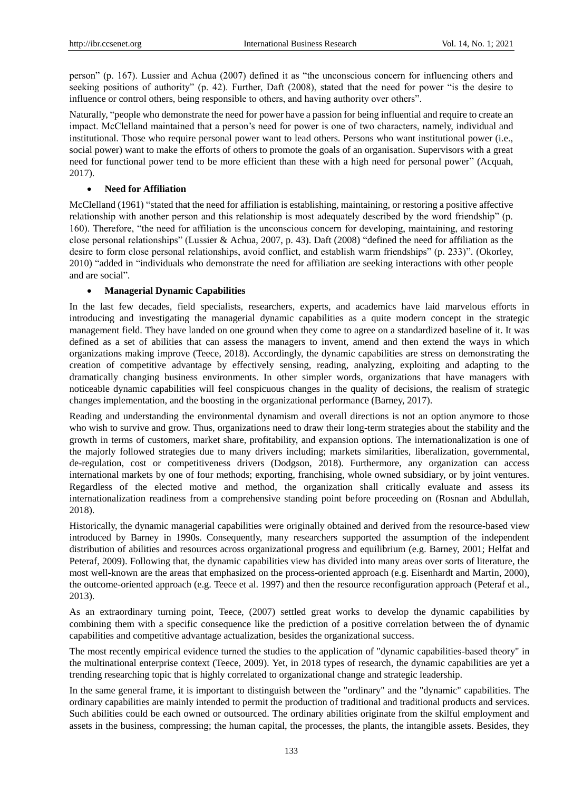person" (p. 167). Lussier and Achua (2007) defined it as "the unconscious concern for influencing others and seeking positions of authority" (p. 42). Further, Daft (2008), stated that the need for power "is the desire to influence or control others, being responsible to others, and having authority over others".

Naturally, "people who demonstrate the need for power have a passion for being influential and require to create an impact. McClelland maintained that a person's need for power is one of two characters, namely, individual and institutional. Those who require personal power want to lead others. Persons who want institutional power (i.e., social power) want to make the efforts of others to promote the goals of an organisation. Supervisors with a great need for functional power tend to be more efficient than these with a high need for personal power" (Acquah, 2017).

# **Need for Affiliation**

McClelland (1961) "stated that the need for affiliation is establishing, maintaining, or restoring a positive affective relationship with another person and this relationship is most adequately described by the word friendship" (p. 160). Therefore, "the need for affiliation is the unconscious concern for developing, maintaining, and restoring close personal relationships" (Lussier & Achua, 2007, p. 43). Daft (2008) "defined the need for affiliation as the desire to form close personal relationships, avoid conflict, and establish warm friendships" (p. 233)". (Okorley, 2010) "added in "individuals who demonstrate the need for affiliation are seeking interactions with other people and are social".

# **Managerial Dynamic Capabilities**

In the last few decades, field specialists, researchers, experts, and academics have laid marvelous efforts in introducing and investigating the managerial dynamic capabilities as a quite modern concept in the strategic management field. They have landed on one ground when they come to agree on a standardized baseline of it. It was defined as a set of abilities that can assess the managers to invent, amend and then extend the ways in which organizations making improve (Teece, 2018). Accordingly, the dynamic capabilities are stress on demonstrating the creation of competitive advantage by effectively sensing, reading, analyzing, exploiting and adapting to the dramatically changing business environments. In other simpler words, organizations that have managers with noticeable dynamic capabilities will feel conspicuous changes in the quality of decisions, the realism of strategic changes implementation, and the boosting in the organizational performance (Barney, 2017).

Reading and understanding the environmental dynamism and overall directions is not an option anymore to those who wish to survive and grow. Thus, organizations need to draw their long-term strategies about the stability and the growth in terms of customers, market share, profitability, and expansion options. The internationalization is one of the majorly followed strategies due to many drivers including; markets similarities, liberalization, governmental, de-regulation, cost or competitiveness drivers (Dodgson, 2018). Furthermore, any organization can access international markets by one of four methods; exporting, franchising, whole owned subsidiary, or by joint ventures. Regardless of the elected motive and method, the organization shall critically evaluate and assess its internationalization readiness from a comprehensive standing point before proceeding on (Rosnan and Abdullah, 2018).

Historically, the dynamic managerial capabilities were originally obtained and derived from the resource-based view introduced by Barney in 1990s. Consequently, many researchers supported the assumption of the independent distribution of abilities and resources across organizational progress and equilibrium (e.g. Barney, 2001; Helfat and Peteraf, 2009). Following that, the dynamic capabilities view has divided into many areas over sorts of literature, the most well-known are the areas that emphasized on the process-oriented approach (e.g. Eisenhardt and Martin, 2000), the outcome-oriented approach (e.g. Teece et al. 1997) and then the resource reconfiguration approach (Peteraf et al., 2013).

As an extraordinary turning point, Teece, (2007) settled great works to develop the dynamic capabilities by combining them with a specific consequence like the prediction of a positive correlation between the of dynamic capabilities and competitive advantage actualization, besides the organizational success.

The most recently empirical evidence turned the studies to the application of "dynamic capabilities-based theory" in the multinational enterprise context (Teece, 2009). Yet, in 2018 types of research, the dynamic capabilities are yet a trending researching topic that is highly correlated to organizational change and strategic leadership.

In the same general frame, it is important to distinguish between the "ordinary" and the "dynamic" capabilities. The ordinary capabilities are mainly intended to permit the production of traditional and traditional products and services. Such abilities could be each owned or outsourced. The ordinary abilities originate from the skilful employment and assets in the business, compressing; the human capital, the processes, the plants, the intangible assets. Besides, they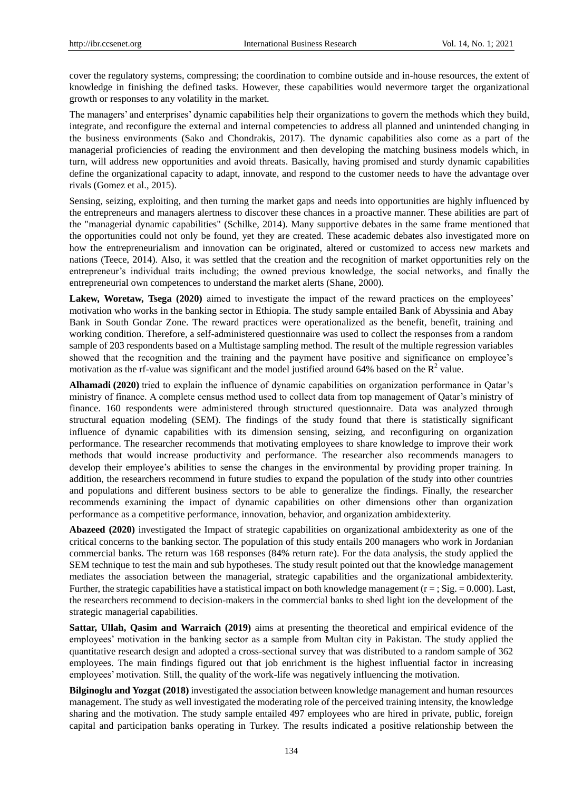cover the regulatory systems, compressing; the coordination to combine outside and in-house resources, the extent of knowledge in finishing the defined tasks. However, these capabilities would nevermore target the organizational growth or responses to any volatility in the market.

The managers' and enterprises' dynamic capabilities help their organizations to govern the methods which they build, integrate, and reconfigure the external and internal competencies to address all planned and unintended changing in the business environments (Sako and Chondrakis, 2017). The dynamic capabilities also come as a part of the managerial proficiencies of reading the environment and then developing the matching business models which, in turn, will address new opportunities and avoid threats. Basically, having promised and sturdy dynamic capabilities define the organizational capacity to adapt, innovate, and respond to the customer needs to have the advantage over rivals (Gomez et al., 2015).

Sensing, seizing, exploiting, and then turning the market gaps and needs into opportunities are highly influenced by the entrepreneurs and managers alertness to discover these chances in a proactive manner. These abilities are part of the "managerial dynamic capabilities" (Schilke, 2014). Many supportive debates in the same frame mentioned that the opportunities could not only be found, yet they are created. These academic debates also investigated more on how the entrepreneurialism and innovation can be originated, altered or customized to access new markets and nations (Teece, 2014). Also, it was settled that the creation and the recognition of market opportunities rely on the entrepreneur's individual traits including; the owned previous knowledge, the social networks, and finally the entrepreneurial own competences to understand the market alerts (Shane, 2000).

**Lakew, Woretaw, Tsega (2020)** aimed to investigate the impact of the reward practices on the employees' motivation who works in the banking sector in Ethiopia. The study sample entailed Bank of Abyssinia and Abay Bank in South Gondar Zone. The reward practices were operationalized as the benefit, benefit, training and working condition. Therefore, a self-administered questionnaire was used to collect the responses from a random sample of 203 respondents based on a Multistage sampling method. The result of the multiple regression variables showed that the recognition and the training and the payment have positive and significance on employee's motivation as the rf-value was significant and the model justified around 64% based on the  $R^2$  value.

**Alhamadi (2020)** tried to explain the influence of dynamic capabilities on organization performance in Qatar's ministry of finance. A complete census method used to collect data from top management of Qatar's ministry of finance. 160 respondents were administered through structured questionnaire. Data was analyzed through structural equation modeling (SEM). The findings of the study found that there is statistically significant influence of dynamic capabilities with its dimension sensing, seizing, and reconfiguring on organization performance. The researcher recommends that motivating employees to share knowledge to improve their work methods that would increase productivity and performance. The researcher also recommends managers to develop their employee's abilities to sense the changes in the environmental by providing proper training. In addition, the researchers recommend in future studies to expand the population of the study into other countries and populations and different business sectors to be able to generalize the findings. Finally, the researcher recommends examining the impact of dynamic capabilities on other dimensions other than organization performance as a competitive performance, innovation, behavior, and organization ambidexterity.

**Abazeed (2020)** investigated the Impact of strategic capabilities on organizational ambidexterity as one of the critical concerns to the banking sector. The population of this study entails 200 managers who work in Jordanian commercial banks. The return was 168 responses (84% return rate). For the data analysis, the study applied the SEM technique to test the main and sub hypotheses. The study result pointed out that the knowledge management mediates the association between the managerial, strategic capabilities and the organizational ambidexterity. Further, the strategic capabilities have a statistical impact on both knowledge management  $(r = ; Sig. = 0.000)$ . Last, the researchers recommend to decision-makers in the commercial banks to shed light ion the development of the strategic managerial capabilities.

**Sattar, Ullah, Qasim and Warraich (2019)** aims at presenting the theoretical and empirical evidence of the employees' motivation in the banking sector as a sample from Multan city in Pakistan. The study applied the quantitative research design and adopted a cross-sectional survey that was distributed to a random sample of 362 employees. The main findings figured out that job enrichment is the highest influential factor in increasing employees' motivation. Still, the quality of the work-life was negatively influencing the motivation.

**Bilginoglu and Yozgat (2018)** investigated the association between knowledge management and human resources management. The study as well investigated the moderating role of the perceived training intensity, the knowledge sharing and the motivation. The study sample entailed 497 employees who are hired in private, public, foreign capital and participation banks operating in Turkey. The results indicated a positive relationship between the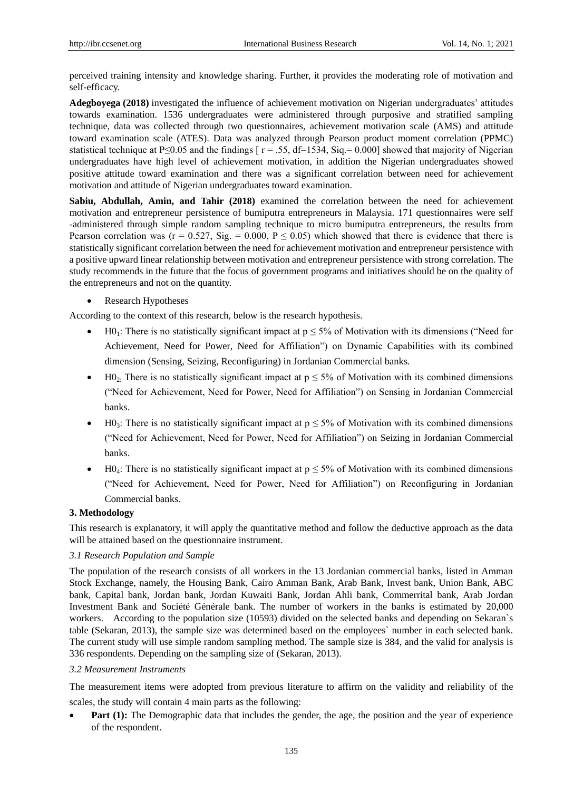perceived training intensity and knowledge sharing. Further, it provides the moderating role of motivation and self-efficacy.

**Adegboyega (2018)** investigated the influence of achievement motivation on Nigerian undergraduates' attitudes towards examination. 1536 undergraduates were administered through purposive and stratified sampling technique, data was collected through two questionnaires, achievement motivation scale (AMS) and attitude toward examination scale (ATES). Data was analyzed through Pearson product moment correlation (PPMC) statistical technique at P≤0.05 and the findings  $\lceil r = .55, df = 1534, Sig = 0.000\rceil$  showed that majority of Nigerian undergraduates have high level of achievement motivation, in addition the Nigerian undergraduates showed positive attitude toward examination and there was a significant correlation between need for achievement motivation and attitude of Nigerian undergraduates toward examination.

**Sabiu, Abdullah, Amin, and Tahir (2018)** examined the correlation between the need for achievement motivation and entrepreneur persistence of bumiputra entrepreneurs in Malaysia. 171 questionnaires were self -administered through simple random sampling technique to micro bumiputra entrepreneurs, the results from Pearson correlation was ( $r = 0.527$ , Sig. = 0.000, P  $\leq$  0.05) which showed that there is evidence that there is statistically significant correlation between the need for achievement motivation and entrepreneur persistence with a positive upward linear relationship between motivation and entrepreneur persistence with strong correlation. The study recommends in the future that the focus of government programs and initiatives should be on the quality of the entrepreneurs and not on the quantity.

• Research Hypotheses

According to the context of this research, below is the research hypothesis.

- $\bullet$  H0<sub>1</sub>: There is no statistically significant impact at  $p \le 5\%$  of Motivation with its dimensions ("Need for Achievement, Need for Power, Need for Affiliation") on Dynamic Capabilities with its combined dimension (Sensing, Seizing, Reconfiguring) in Jordanian Commercial banks.
- H0<sub>2</sub>: There is no statistically significant impact at  $p \le 5\%$  of Motivation with its combined dimensions ("Need for Achievement, Need for Power, Need for Affiliation") on Sensing in Jordanian Commercial banks.
- H0<sub>3</sub>: There is no statistically significant impact at  $p \le 5\%$  of Motivation with its combined dimensions ("Need for Achievement, Need for Power, Need for Affiliation") on Seizing in Jordanian Commercial banks.
- $\bullet$  H0<sub>4</sub>: There is no statistically significant impact at  $p \le 5\%$  of Motivation with its combined dimensions ("Need for Achievement, Need for Power, Need for Affiliation") on Reconfiguring in Jordanian Commercial banks.

# **3. Methodology**

This research is explanatory, it will apply the quantitative method and follow the deductive approach as the data will be attained based on the questionnaire instrument.

# *3.1 Research Population and Sample*

The population of the research consists of all workers in the 13 Jordanian commercial banks, listed in Amman Stock Exchange, namely, the Housing Bank, Cairo Amman Bank, Arab Bank, Invest bank, Union Bank, ABC bank, Capital bank, Jordan bank, Jordan Kuwaiti Bank, Jordan Ahli bank, Commerrital bank, [Arab Jordan](https://en.wikipedia.org/wiki/HSBC_Bank_Middle_East#Jordan)  [Investment Bank](https://en.wikipedia.org/wiki/HSBC_Bank_Middle_East#Jordan) and Soci  $\acute{\textbf{e}}$  G in fraction bank. The number of workers in the banks is estimated by 20,000 workers. According to the population size (10593) divided on the selected banks and depending on Sekaran`s table (Sekaran, 2013), the sample size was determined based on the employees` number in each selected bank. The current study will use simple random sampling method. The sample size is 384, and the valid for analysis is 336 respondents. Depending on the sampling size of (Sekaran, 2013).

#### *3.2 Measurement Instruments*

The measurement items were adopted from previous literature to affirm on the validity and reliability of the scales, the study will contain 4 main parts as the following:

**Part (1):** The Demographic data that includes the gender, the age, the position and the year of experience of the respondent.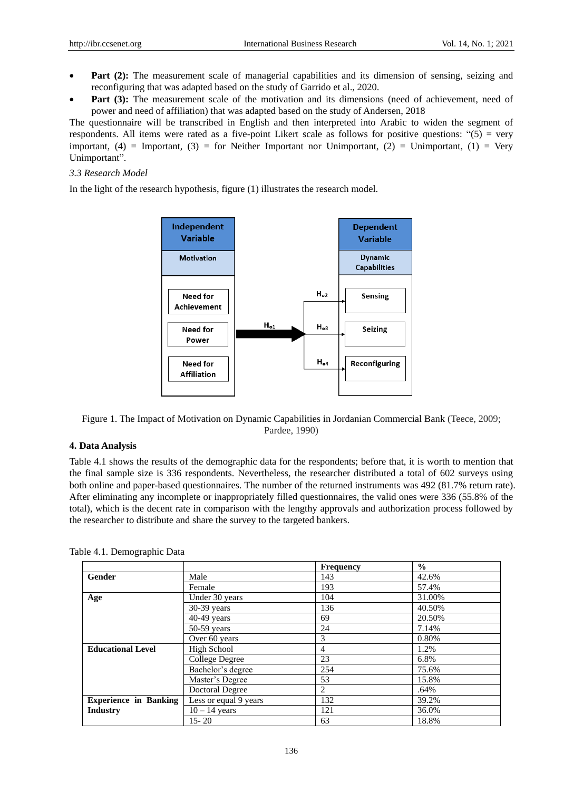- Part (2): The measurement scale of managerial capabilities and its dimension of sensing, seizing and reconfiguring that was adapted based on the study of Garrido et al., 2020.
- Part (3): The measurement scale of the motivation and its dimensions (need of achievement, need of power and need of affiliation) that was adapted based on the study of Andersen, 2018

The questionnaire will be transcribed in English and then interpreted into Arabic to widen the segment of respondents. All items were rated as a five-point Likert scale as follows for positive questions: "(5) = very important,  $(4)$  = Important,  $(3)$  = for Neither Important nor Unimportant,  $(2)$  = Unimportant,  $(1)$  = Very Unimportant".

## *3.3 Research Model*

In the light of the research hypothesis, figure (1) illustrates the research model.



Figure 1. The Impact of Motivation on Dynamic Capabilities in Jordanian Commercial Bank (Teece, 2009; Pardee, 1990)

# **4. Data Analysis**

Table 4.1 shows the results of the demographic data for the respondents; before that, it is worth to mention that the final sample size is 336 respondents. Nevertheless, the researcher distributed a total of 602 surveys using both online and paper-based questionnaires. The number of the returned instruments was 492 (81.7% return rate). After eliminating any incomplete or inappropriately filled questionnaires, the valid ones were 336 (55.8% of the total), which is the decent rate in comparison with the lengthy approvals and authorization process followed by the researcher to distribute and share the survey to the targeted bankers.

Table 4.1. Demographic Data

|                              |                       | <b>Frequency</b> | $\frac{0}{0}$ |
|------------------------------|-----------------------|------------------|---------------|
| Gender                       | Male                  | 143              | 42.6%         |
|                              | Female                | 193              | 57.4%         |
| Age                          | Under 30 years        | 104              | 31.00%        |
|                              | $30-39$ years         | 136              | 40.50%        |
|                              | $40-49$ years         | 69               | 20.50%        |
|                              | $50-59$ years         | 24               | 7.14%         |
|                              | Over 60 years         | 3                | 0.80%         |
| <b>Educational Level</b>     | <b>High School</b>    | 4                | 1.2%          |
|                              | College Degree        | 23               | 6.8%          |
|                              | Bachelor's degree     | 254              | 75.6%         |
|                              | Master's Degree       | 53               | 15.8%         |
|                              | Doctoral Degree       | 2                | .64%          |
| <b>Experience in Banking</b> | Less or equal 9 years | 132              | 39.2%         |
| <b>Industry</b>              | $10 - 14$ years       | 121              | 36.0%         |
|                              | $15 - 20$             | 63               | 18.8%         |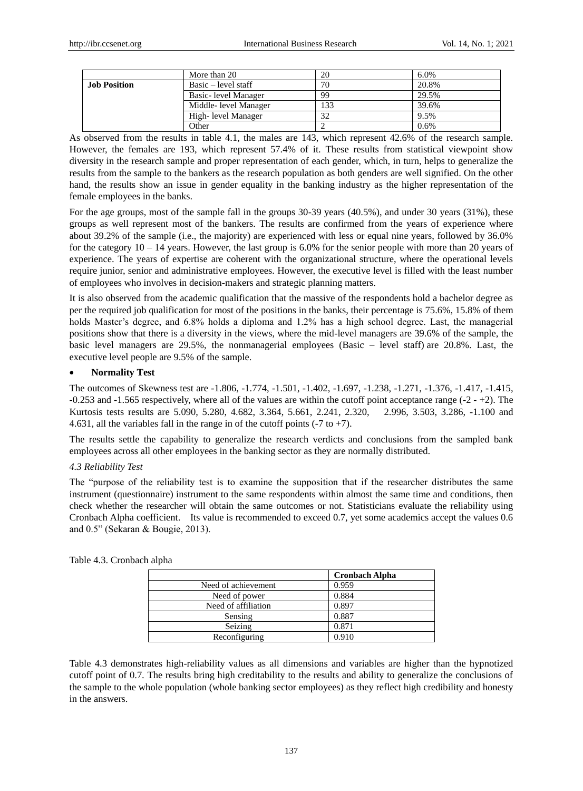|                     | More than 20          | 20  | 6.0%  |
|---------------------|-----------------------|-----|-------|
| <b>Job Position</b> | Basic – level staff   | 70  | 20.8% |
|                     | Basic- level Manager  | 99  | 29.5% |
|                     | Middle- level Manager | 133 | 39.6% |
|                     | High- level Manager   |     | 9.5%  |
|                     | Other                 |     | 0.6%  |

As observed from the results in table 4.1, the males are 143, which represent 42.6% of the research sample. However, the females are 193, which represent 57.4% of it. These results from statistical viewpoint show diversity in the research sample and proper representation of each gender, which, in turn, helps to generalize the results from the sample to the bankers as the research population as both genders are well signified. On the other hand, the results show an issue in gender equality in the banking industry as the higher representation of the female employees in the banks.

For the age groups, most of the sample fall in the groups 30-39 years (40.5%), and under 30 years (31%), these groups as well represent most of the bankers. The results are confirmed from the years of experience where about 39.2% of the sample (i.e., the majority) are experienced with less or equal nine years, followed by 36.0% for the category  $10 - 14$  years. However, the last group is 6.0% for the senior people with more than 20 years of experience. The years of expertise are coherent with the organizational structure, where the operational levels require junior, senior and administrative employees. However, the executive level is filled with the least number of employees who involves in decision-makers and strategic planning matters.

It is also observed from the academic qualification that the massive of the respondents hold a bachelor degree as per the required job qualification for most of the positions in the banks, their percentage is 75.6%, 15.8% of them holds Master's degree, and 6.8% holds a diploma and 1.2% has a high school degree. Last, the managerial positions show that there is a diversity in the views, where the mid-level managers are 39.6% of the sample, the basic level managers are 29.5%, the nonmanagerial employees (Basic – level staff) are 20.8%. Last, the executive level people are 9.5% of the sample.

### **Normality Test**

The outcomes of Skewness test are -1.806, -1.774, -1.501, -1.402, -1.697, -1.238, -1.271, -1.376, -1.417, -1.415,  $-0.253$  and  $-1.565$  respectively, where all of the values are within the cutoff point acceptance range  $(-2 - +2)$ . The Kurtosis tests results are 5.090, 5.280, 4.682, 3.364, 5.661, 2.241, 2.320, 2.996, 3.503, 3.286, -1.100 and 4.631, all the variables fall in the range in of the cutoff points  $(-7 \text{ to } +7)$ .

The results settle the capability to generalize the research verdicts and conclusions from the sampled bank employees across all other employees in the banking sector as they are normally distributed.

# *4.3 Reliability Test*

The "purpose of the reliability test is to examine the supposition that if the researcher distributes the same instrument (questionnaire) instrument to the same respondents within almost the same time and conditions, then check whether the researcher will obtain the same outcomes or not. Statisticians evaluate the reliability using Cronbach Alpha coefficient. Its value is recommended to exceed 0.7, yet some academics accept the values 0.6 and 0.5" (Sekaran & Bougie, 2013).

|                     | <b>Cronbach Alpha</b> |
|---------------------|-----------------------|
| Need of achievement | 0.959                 |
| Need of power       | 0.884                 |
| Need of affiliation | 0.897                 |
| Sensing             | 0.887                 |
| Seizing             | 0.871                 |
| Reconfiguring       | 0.910                 |

Table 4.3. Cronbach alpha

Table 4.3 demonstrates high-reliability values as all dimensions and variables are higher than the hypnotized cutoff point of 0.7. The results bring high creditability to the results and ability to generalize the conclusions of the sample to the whole population (whole banking sector employees) as they reflect high credibility and honesty in the answers.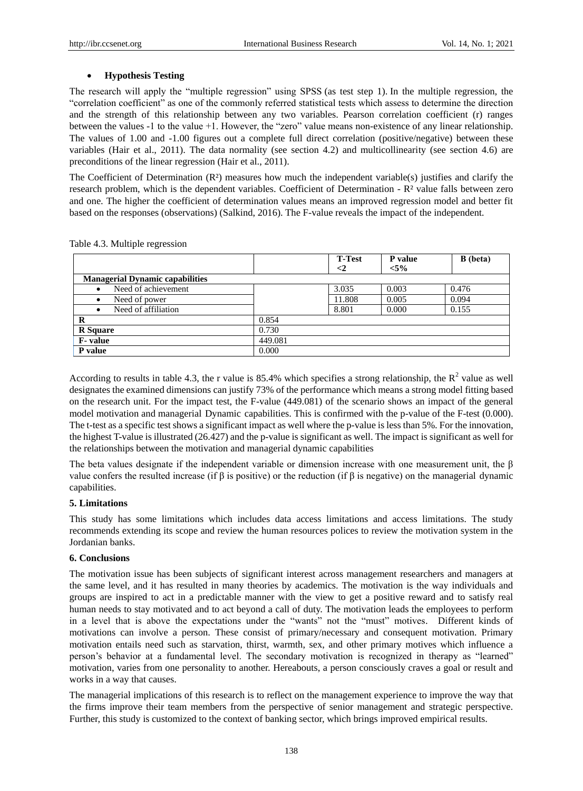# **Hypothesis Testing**

The research will apply the "multiple regression" using SPSS (as test step 1). In the multiple regression, the "correlation coefficient" as one of the commonly referred statistical tests which assess to determine the direction and the strength of this relationship between any two variables. Pearson correlation coefficient (r) ranges between the values -1 to the value +1. However, the "zero" value means non-existence of any linear relationship. The values of 1.00 and -1.00 figures out a complete full direct correlation (positive/negative) between these variables (Hair et al., 2011). The data normality (see section 4.2) and multicollinearity (see section 4.6) are preconditions of the linear regression (Hair et al., 2011).

The Coefficient of Determination  $(R<sup>3</sup>)$  measures how much the independent variable(s) justifies and clarify the research problem, which is the dependent variables. Coefficient of Determination - R² value falls between zero and one. The higher the coefficient of determination values means an improved regression model and better fit based on the responses (observations) (Salkind, 2016). The F-value reveals the impact of the independent.

|                                        |         | <b>T-Test</b> | P value | <b>B</b> (beta) |
|----------------------------------------|---------|---------------|---------|-----------------|
|                                        |         | $\leq$        | $< 5\%$ |                 |
| <b>Managerial Dynamic capabilities</b> |         |               |         |                 |
| Need of achievement<br>$\bullet$       |         | 3.035         | 0.003   | 0.476           |
| Need of power<br>$\bullet$             |         | 11.808        | 0.005   | 0.094           |
| Need of affiliation<br>$\bullet$       |         | 8.801         | 0.000   | 0.155           |
| R                                      | 0.854   |               |         |                 |
| <b>R</b> Square                        | 0.730   |               |         |                 |
| <b>F</b> -value                        | 449.081 |               |         |                 |
| P value                                | 0.000   |               |         |                 |

Table 4.3. Multiple regression

According to results in table 4.3, the r value is 85.4% which specifies a strong relationship, the  $R^2$  value as well designates the examined dimensions can justify 73% of the performance which means a strong model fitting based on the research unit. For the impact test, the F-value (449.081) of the scenario shows an impact of the general model motivation and managerial Dynamic capabilities. This is confirmed with the p-value of the F-test (0.000). The t-test as a specific test shows a significant impact as well where the p-value is less than 5%. For the innovation, the highest T-value is illustrated (26.427) and the p-value is significant as well. The impact is significant as well for the relationships between the motivation and managerial dynamic capabilities

The beta values designate if the independent variable or dimension increase with one measurement unit, the β value confers the resulted increase (if β is positive) or the reduction (if β is negative) on the managerial dynamic capabilities.

# **5. Limitations**

This study has some limitations which includes data access limitations and access limitations. The study recommends extending its scope and review the human resources polices to review the motivation system in the Jordanian banks.

# **6. Conclusions**

The motivation issue has been subjects of significant interest across management researchers and managers at the same level, and it has resulted in many theories by academics. The motivation is the way individuals and groups are inspired to act in a predictable manner with the view to get a positive reward and to satisfy real human needs to stay motivated and to act beyond a call of duty. The motivation leads the employees to perform in a level that is above the expectations under the "wants" not the "must" motives. Different kinds of motivations can involve a person. These consist of primary/necessary and consequent motivation. Primary motivation entails need such as starvation, thirst, warmth, sex, and other primary motives which influence a person's behavior at a fundamental level. The secondary motivation is recognized in therapy as "learned" motivation, varies from one personality to another. Hereabouts, a person consciously craves a goal or result and works in a way that causes.

The managerial implications of this research is to reflect on the management experience to improve the way that the firms improve their team members from the perspective of senior management and strategic perspective. Further, this study is customized to the context of banking sector, which brings improved empirical results.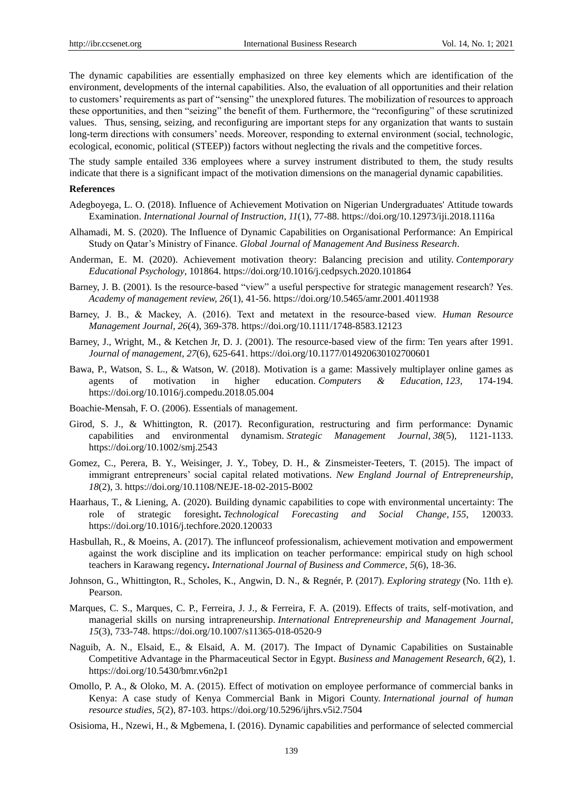The dynamic capabilities are essentially emphasized on three key elements which are identification of the environment, developments of the internal capabilities. Also, the evaluation of all opportunities and their relation to customers' requirements as part of "sensing" the unexplored futures. The mobilization of resources to approach these opportunities, and then "seizing" the benefit of them. Furthermore, the "reconfiguring" of these scrutinized values. Thus, sensing, seizing, and reconfiguring are important steps for any organization that wants to sustain long-term directions with consumers' needs. Moreover, responding to external environment (social, technologic, ecological, economic, political (STEEP)) factors without neglecting the rivals and the competitive forces.

The study sample entailed 336 employees where a survey instrument distributed to them, the study results indicate that there is a significant impact of the motivation dimensions on the managerial dynamic capabilities.

#### **References**

- Adegboyega, L. O. (2018). Influence of Achievement Motivation on Nigerian Undergraduates' Attitude towards Examination. *International Journal of Instruction*, *11*(1), 77-88. https://doi.org/10.12973/iji.2018.1116a
- Alhamadi, M. S. (2020). The Influence of Dynamic Capabilities on Organisational Performance: An Empirical Study on Qatar's Ministry of Finance. *Global Journal of Management And Business Research*.
- Anderman, E. M. (2020). Achievement motivation theory: Balancing precision and utility. *Contemporary Educational Psychology*, 101864. https://doi.org/10.1016/j.cedpsych.2020.101864
- Barney, J. B. (2001). Is the resource-based "view" a useful perspective for strategic management research? Yes. *Academy of management review, 26*(1), 41-56. https://doi.org/10.5465/amr.2001.4011938
- Barney, J. B., & Mackey, A. (2016). Text and metatext in the resource‐based view. *Human Resource Management Journal, 26*(4), 369-378. https://doi.org/10.1111/1748-8583.12123
- Barney, J., Wright, M., & Ketchen Jr, D. J. (2001). The resource-based view of the firm: Ten years after 1991. *Journal of management, 27*(6), 625-641. https://doi.org/10.1177/014920630102700601
- Bawa, P., Watson, S. L., & Watson, W. (2018). Motivation is a game: Massively multiplayer online games as agents of motivation in higher education*. Computers & Education, 123,* 174-194. https://doi.org/10.1016/j.compedu.2018.05.004
- Boachie-Mensah, F. O. (2006). Essentials of management.
- Girod, S. J., & Whittington, R. (2017). Reconfiguration, restructuring and firm performance: Dynamic capabilities and environmental dynamism. *Strategic Management Journal, 38*(5), 1121-1133. https://doi.org/10.1002/smj.2543
- Gomez, C., Perera, B. Y., Weisinger, J. Y., Tobey, D. H., & Zinsmeister-Teeters, T. (2015). The impact of immigrant entrepreneurs' social capital related motivations. *New England Journal of Entrepreneurship*, *18*(2), 3. https://doi.org/10.1108/NEJE-18-02-2015-B002
- Haarhaus, T., & Liening, A. (2020). Building dynamic capabilities to cope with environmental uncertainty: The role of strategic foresight**.** *Technological Forecasting and Social Change*, *155*, 120033. https://doi.org/10.1016/j.techfore.2020.120033
- Hasbullah, R., & Moeins, A. (2017). The influnceof professionalism, achievement motivation and empowerment against the work discipline and its implication on teacher performance: empirical study on high school teachers in Karawang regency**.** *International Journal of Business and Commerce*, *5*(6), 18-36.
- Johnson, G., Whittington, R., Scholes, K., Angwin, D. N., & Regnér, P. (2017). *Exploring strategy* (No. 11th e). Pearson.
- Marques, C. S., Marques, C. P., Ferreira, J. J., & Ferreira, F. A. (2019). Effects of traits, self-motivation, and managerial skills on nursing intrapreneurship. *International Entrepreneurship and Management Journal*, *15*(3), 733-748. https://doi.org/10.1007/s11365-018-0520-9
- Naguib, A. N., Elsaid, E., & Elsaid, A. M. (2017). The Impact of Dynamic Capabilities on Sustainable Competitive Advantage in the Pharmaceutical Sector in Egypt. *Business and Management Research*, *6*(2), 1. https://doi.org/10.5430/bmr.v6n2p1
- Omollo, P. A., & Oloko, M. A. (2015). Effect of motivation on employee performance of commercial banks in Kenya: A case study of Kenya Commercial Bank in Migori County. *International journal of human resource studies*, *5*(2), 87-103. https://doi.org/10.5296/ijhrs.v5i2.7504
- Osisioma, H., Nzewi, H., & Mgbemena, I. (2016). Dynamic capabilities and performance of selected commercial